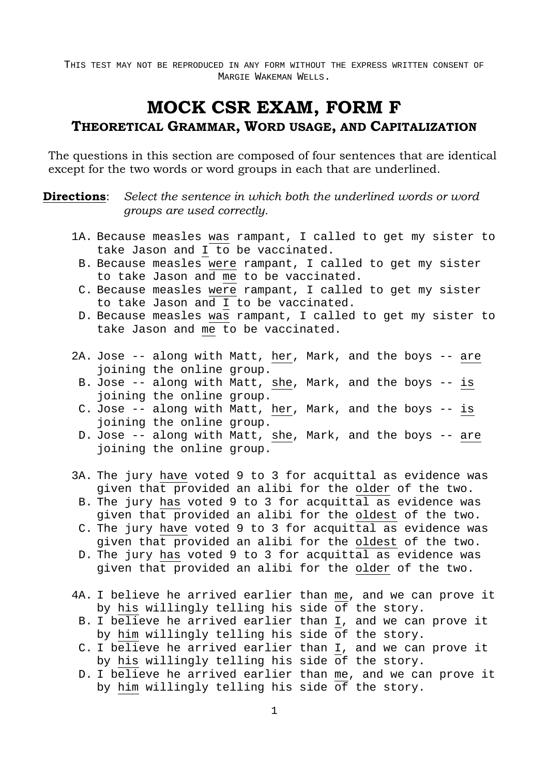# **MOCK CSR EXAM, FORM F**

### **THEORETICAL GRAMMAR, WORD USAGE, AND CAPITALIZATION**

The questions in this section are composed of four sentences that are identical except for the two words or word groups in each that are underlined.

**Directions**: Select the sentence in which both the underlined words or word *groups are used correctly.* 

- 1A. Because measles was rampant, I called to get my sister to take Jason and I to be vaccinated.
	- B. Because measles were rampant, I called to get my sister to take Jason and me to be vaccinated.
	- C. Because measles were rampant, I called to get my sister to take Jason and I to be vaccinated.
	- D. Because measles was rampant, I called to get my sister to take Jason and me to be vaccinated.
- 2A. Jose -- along with Matt, her, Mark, and the boys -- are joining the online group.
	- B. Jose -- along with Matt, she, Mark, and the boys -- is joining the online group.
	- C. Jose -- along with Matt, her, Mark, and the boys -- is joining the online group.
	- D. Jose -- along with Matt, she, Mark, and the boys -- are joining the online group.
- 3A. The jury have voted 9 to 3 for acquittal as evidence was given that provided an alibi for the older of the two.
	- B. The jury has voted 9 to 3 for acquittal as evidence was given that provided an alibi for the oldest of the two.
	- C. The jury have voted 9 to 3 for acquittal as evidence was given that provided an alibi for the oldest of the two.
	- D. The jury has voted 9 to 3 for acquittal as evidence was given that provided an alibi for the older of the two.
- 4A. I believe he arrived earlier than me, and we can prove it by his willingly telling his side of the story.
	- B. I believe he arrived earlier than I, and we can prove it by him willingly telling his side of the story.
	- C. I believe he arrived earlier than I, and we can prove it by his willingly telling his side of the story.
	- D. I believe he arrived earlier than me, and we can prove it by him willingly telling his side of the story.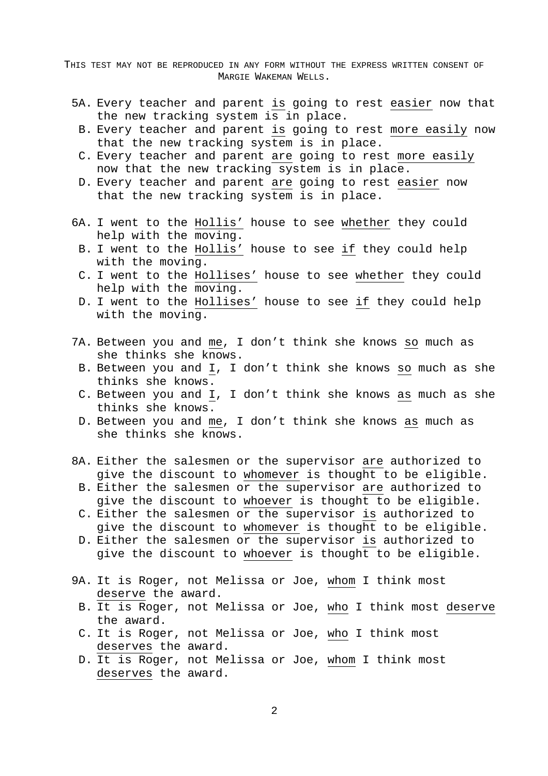- 5A. Every teacher and parent is going to rest easier now that the new tracking system is in place.
- B. Every teacher and parent is going to rest more easily now that the new tracking system is in place.
- C. Every teacher and parent are going to rest more easily now that the new tracking system is in place.
- D. Every teacher and parent are going to rest easier now that the new tracking system is in place.
- 6A. I went to the Hollis' house to see whether they could help with the moving.
	- B. I went to the Hollis' house to see if they could help with the moving.
	- C. I went to the Hollises' house to see whether they could help with the moving.
	- D. I went to the Hollises' house to see if they could help with the moving.
- 7A. Between you and me, I don't think she knows so much as she thinks she knows.
	- B. Between you and I, I don't think she knows so much as she thinks she knows.
	- C. Between you and I, I don't think she knows as much as she thinks she knows.
	- D. Between you and me, I don't think she knows as much as she thinks she knows.
- 8A. Either the salesmen or the supervisor are authorized to give the discount to whomever is thought to be eligible.
	- B. Either the salesmen or the supervisor are authorized to give the discount to whoever is thought to be eligible.
	- C. Either the salesmen or the supervisor is authorized to give the discount to whomever is thought to be eligible.
	- D. Either the salesmen or the supervisor is authorized to give the discount to whoever is thought to be eligible.
- 9A. It is Roger, not Melissa or Joe, whom I think most deserve the award.
	- B. It is Roger, not Melissa or Joe, who I think most deserve the award.
	- C. It is Roger, not Melissa or Joe, who I think most deserves the award.
	- D. It is Roger, not Melissa or Joe, whom I think most deserves the award.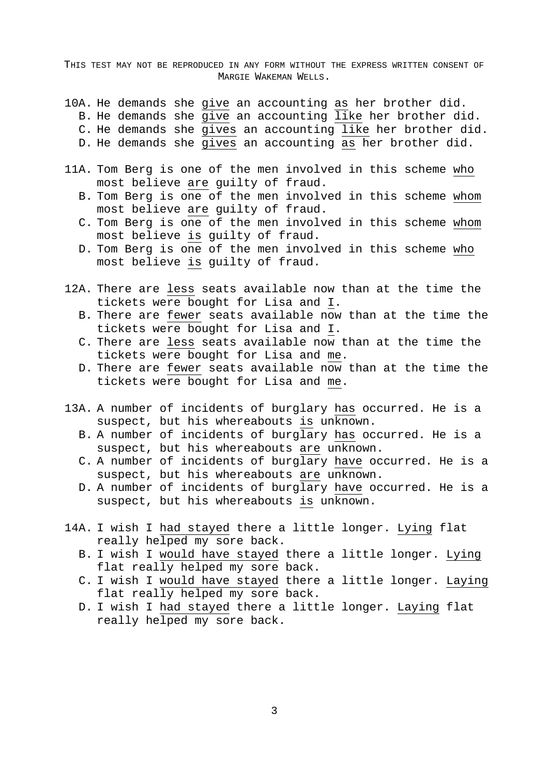- 10A. He demands she give an accounting as her brother did.
	- B. He demands she give an accounting  $\overline{like}$  her brother did.
	- C. He demands she gives an accounting like her brother did.
	- D. He demands she gives an accounting as her brother did.
- 11A. Tom Berg is one of the men involved in this scheme who most believe are guilty of fraud.
	- B. Tom Berg is one of the men involved in this scheme whom most believe are guilty of fraud.
	- C. Tom Berg is one of the men involved in this scheme whom most believe is guilty of fraud.
	- D. Tom Berg is one of the men involved in this scheme who most believe is guilty of fraud.
- 12A. There are less seats available now than at the time the tickets were bought for Lisa and I.
	- B. There are fewer seats available now than at the time the tickets were bought for Lisa and I.
	- C. There are less seats available now than at the time the tickets were bought for Lisa and me.
	- D. There are fewer seats available now than at the time the tickets were bought for Lisa and me.
- 13A. A number of incidents of burglary has occurred. He is a suspect, but his whereabouts is unknown.
	- B. A number of incidents of burglary has occurred. He is a suspect, but his whereabouts are unknown.
	- C. A number of incidents of burglary have occurred. He is a suspect, but his whereabouts are unknown.
	- D. A number of incidents of burglary have occurred. He is a suspect, but his whereabouts is unknown.
- 14A. I wish I had stayed there a little longer. Lying flat really helped my sore back.
	- B. I wish I would have stayed there a little longer. Lying flat really helped my sore back.
	- C. I wish I would have stayed there a little longer. Laying flat really helped my sore back.
	- D. I wish I had stayed there a little longer. Laying flat really helped my sore back.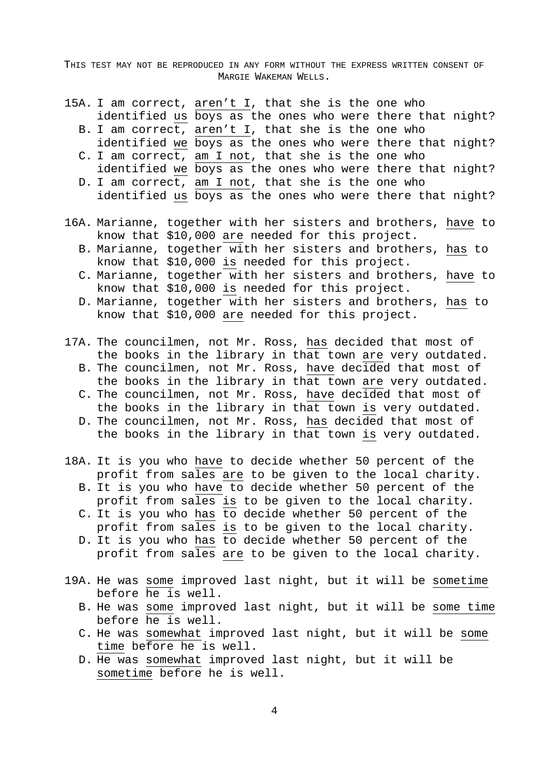- 15A. I am correct, aren't I, that she is the one who identified us boys as the ones who were there that night?
	- B. I am correct, aren't I, that she is the one who identified we boys as the ones who were there that night?
	- C. I am correct, am I not, that she is the one who identified we boys as the ones who were there that night?
	- D. I am correct, am I not, that she is the one who identified us boys as the ones who were there that night?
- 16A. Marianne, together with her sisters and brothers, have to know that \$10,000 are needed for this project.
	- B. Marianne, together with her sisters and brothers, has to know that \$10,000 is needed for this project.
	- C. Marianne, together with her sisters and brothers, have to know that \$10,000 is needed for this project.
	- D. Marianne, together with her sisters and brothers, has to know that \$10,000 are needed for this project.
- 17A. The councilmen, not Mr. Ross, has decided that most of the books in the library in that town are very outdated.
	- B. The councilmen, not Mr. Ross, have decided that most of the books in the library in that town are very outdated.
	- C. The councilmen, not Mr. Ross, have decided that most of the books in the library in that town is very outdated.
	- D. The councilmen, not Mr. Ross, has decided that most of the books in the library in that town is very outdated.
- 18A. It is you who have to decide whether 50 percent of the profit from sales are to be given to the local charity.
	- B. It is you who have to decide whether 50 percent of the profit from sales is to be given to the local charity.
	- C. It is you who has to decide whether 50 percent of the profit from sales is to be given to the local charity.
	- D. It is you who has to decide whether 50 percent of the profit from sales are to be given to the local charity.
- 19A. He was some improved last night, but it will be sometime before he is well.
	- B. He was some improved last night, but it will be some time before he is well.
	- C. He was somewhat improved last night, but it will be some time before he is well.
	- D. He was somewhat improved last night, but it will be sometime before he is well.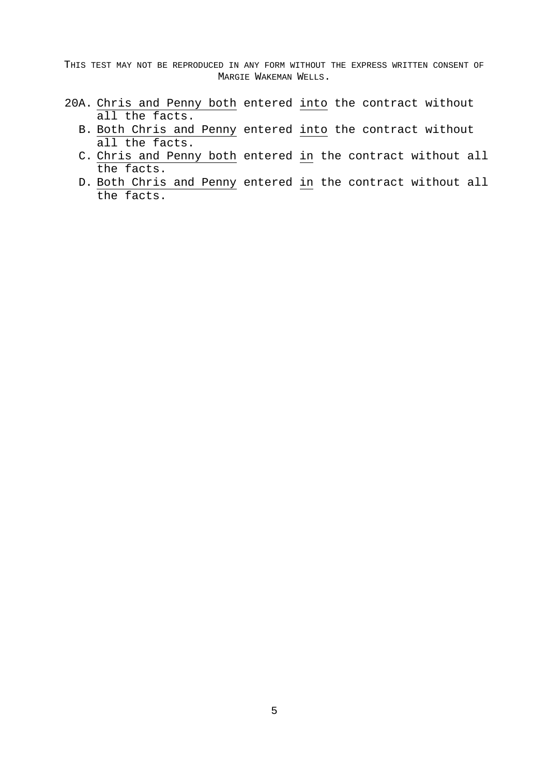- 20A. Chris and Penny both entered into the contract without all the facts.
	- B. Both Chris and Penny entered into the contract without all the facts.
	- C. Chris and Penny both entered in the contract without all the facts.
	- D. Both Chris and Penny entered in the contract without all the facts.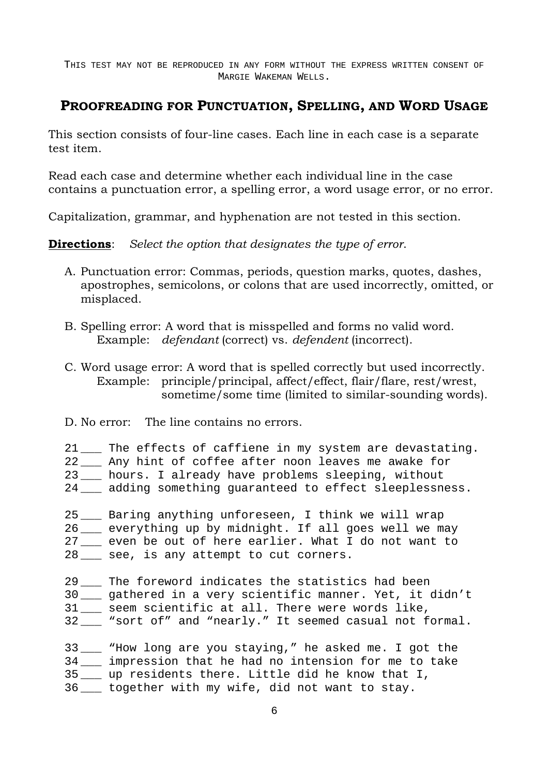## **PROOFREADING FOR PUNCTUATION, SPELLING, AND WORD USAGE**

This section consists of four-line cases. Each line in each case is a separate test item.

Read each case and determine whether each individual line in the case contains a punctuation error, a spelling error, a word usage error, or no error.

Capitalization, grammar, and hyphenation are not tested in this section.

**Directions**: *Select the option that designates the type of error*.

- A. Punctuation error: Commas, periods, question marks, quotes, dashes, apostrophes, semicolons, or colons that are used incorrectly, omitted, or misplaced.
- B. Spelling error: A word that is misspelled and forms no valid word. Example: *defendant* (correct) vs. *defendent* (incorrect).
- C. Word usage error: A word that is spelled correctly but used incorrectly. Example: principle/principal, affect/effect, flair/flare, rest/wrest, sometime/some time (limited to similar-sounding words).
- D. No error: The line contains no errors.

| 21 The effects of caffiene in my system are devastating.<br>22 __ Any hint of coffee after noon leaves me awake for<br>23 __ hours. I already have problems sleeping, without<br>24 adding something quaranteed to effect sleeplessness. |
|------------------------------------------------------------------------------------------------------------------------------------------------------------------------------------------------------------------------------------------|
| 25 __ Baring anything unforeseen, I think we will wrap<br>26 everything up by midnight. If all goes well we may<br>27 even be out of here earlier. What I do not want to<br>28 __ see, is any attempt to cut corners.                    |
| 29 The foreword indicates the statistics had been<br>30 __ gathered in a very scientific manner. Yet, it didn't<br>31 __ seem scientific at all. There were words like,<br>32___ "sort of" and "nearly." It seemed casual not formal.    |
| 33 Whow long are you staying," he asked me. I got the<br>34 __ impression that he had no intension for me to take<br>35 __ up residents there. Little did he know that I,                                                                |

36 \_\_\_ together with my wife, did not want to stay.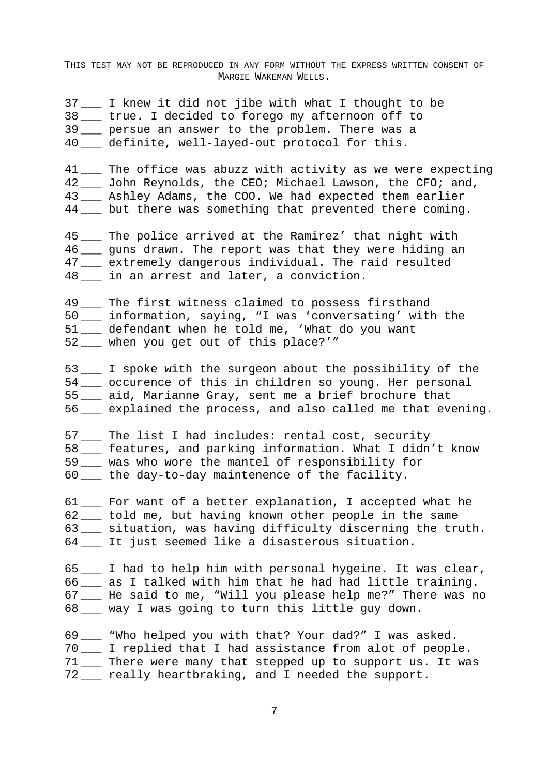|    | 37___ I knew it did not jibe with what I thought to be<br>38___ true. I decided to forego my afternoon off to<br>39 ___ persue an answer to the problem. There was a<br>40 ___ definite, well-layed-out protocol for this.                                  |
|----|-------------------------------------------------------------------------------------------------------------------------------------------------------------------------------------------------------------------------------------------------------------|
|    | 41 __ The office was abuzz with activity as we were expecting<br>42____ John Reynolds, the CEO; Michael Lawson, the CFO; and,<br>43___ Ashley Adams, the COO. We had expected them earlier<br>44 ___ but there was something that prevented there coming.   |
|    | 45___ The police arrived at the Ramirez' that night with<br>46 __ guns drawn. The report was that they were hiding an<br>47___ extremely dangerous individual. The raid resulted<br>48 in an arrest and later, a conviction.                                |
|    | 49 ___ The first witness claimed to possess firsthand<br>50 ___ information, saying, "I was 'conversating' with the<br>51 ___ defendant when he told me, 'What do you want<br>52___ when you get out of this place?'"                                       |
|    | 53 ___ I spoke with the surgeon about the possibility of the<br>54 ___ occurence of this in children so young. Her personal<br>55___ aid, Marianne Gray, sent me a brief brochure that<br>56 <u>explained</u> the process, and also called me that evening. |
|    | 57___ The list I had includes: rental cost, security<br>58 ___ features, and parking information. What I didn't know<br>59 ___ was who wore the mantel of responsibility for<br>60 __ the day-to-day maintenence of the facility.                           |
| 61 | For want of a better explanation, I accepted what he<br>62 told me, but having known other people in the same<br>63 ___ situation, was having difficulty discerning the truth.<br>64 __ It just seemed like a disasterous situation.                        |
|    | 65___ I had to help him with personal hygeine. It was clear,<br>66 ___ as I talked with him that he had had little training.<br>67___ He said to me, "Will you please help me?" There was no<br>68 __ way I was going to turn this little guy down.         |
|    | 69___ "Who helped you with that? Your dad?" I was asked.<br>70 ___ I replied that I had assistance from alot of people.<br>71 ___ There were many that stepped up to support us. It was<br>72___ really heartbraking, and I needed the support.             |

7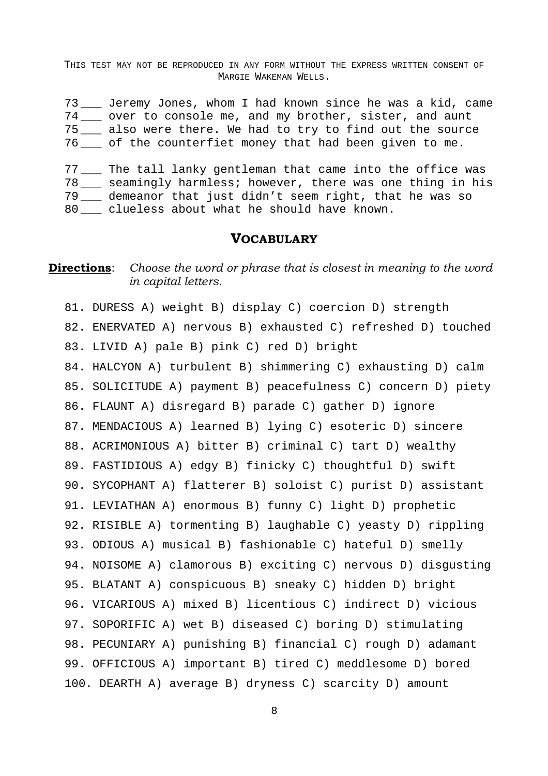73 \_\_\_ Jeremy Jones, whom I had known since he was a kid, came 74 over to console me, and my brother, sister, and aunt 75 \_\_\_ also were there. We had to try to find out the source 76 \_\_\_ of the counterfiet money that had been given to me.

77 \_\_\_ The tall lanky gentleman that came into the office was 78 \_\_\_ seamingly harmless; however, there was one thing in his 79 \_\_\_ demeanor that just didn't seem right, that he was so 80 \_\_\_ clueless about what he should have known.

#### **VOCABULARY**

### **Directions**: Choose the word or phrase that is closest in meaning to the word *in capital letters.*

81. DURESS A) weight B) display C) coercion D) strength 82. ENERVATED A) nervous B) exhausted C) refreshed D) touched 83. LIVID A) pale B) pink C) red D) bright

84. HALCYON A) turbulent B) shimmering C) exhausting D) calm 85. SOLICITUDE A) payment B) peacefulness C) concern D) piety 86. FLAUNT A) disregard B) parade C) gather D) ignore 87. MENDACIOUS A) learned B) lying C) esoteric D) sincere 88. ACRIMONIOUS A) bitter B) criminal C) tart D) wealthy 89. FASTIDIOUS A) edgy B) finicky C) thoughtful D) swift 90. SYCOPHANT A) flatterer B) soloist C) purist D) assistant 91. LEVIATHAN A) enormous B) funny C) light D) prophetic 92. RISIBLE A) tormenting B) laughable C) yeasty D) rippling 93. ODIOUS A) musical B) fashionable C) hateful D) smelly 94. NOISOME A) clamorous B) exciting C) nervous D) disgusting 95. BLATANT A) conspicuous B) sneaky C) hidden D) bright 96. VICARIOUS A) mixed B) licentious C) indirect D) vicious 97. SOPORIFIC A) wet B) diseased C) boring D) stimulating 98. PECUNIARY A) punishing B) financial C) rough D) adamant 99. OFFICIOUS A) important B) tired C) meddlesome D) bored 100. DEARTH A) average B) dryness C) scarcity D) amount

8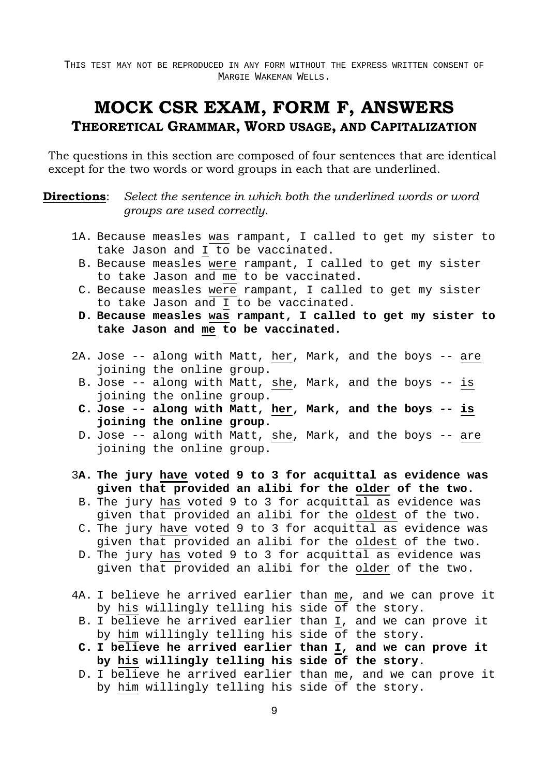# **MOCK CSR EXAM, FORM F, ANSWERS THEORETICAL GRAMMAR, WORD USAGE, AND CAPITALIZATION**

The questions in this section are composed of four sentences that are identical except for the two words or word groups in each that are underlined.

**Directions**: Select the sentence in which both the underlined words or word *groups are used correctly.* 

- 1A. Because measles was rampant, I called to get my sister to take Jason and I to be vaccinated.
	- B. Because measles were rampant, I called to get my sister to take Jason and me to be vaccinated.
	- C. Because measles were rampant, I called to get my sister to take Jason and I to be vaccinated.
	- **D. Because measles was rampant, I called to get my sister to take Jason and me to be vaccinated.**
- 2A. Jose -- along with Matt, her, Mark, and the boys -- are joining the online group.
- B. Jose -- along with Matt, she, Mark, and the boys -- is joining the online group.
- **C. Jose -- along with Matt, her, Mark, and the boys -- is joining the online group.**
- D. Jose -- along with Matt, she, Mark, and the boys -- are joining the online group.
- 3**A. The jury have voted 9 to 3 for acquittal as evidence was given that provided an alibi for the older of the two.**
	- B. The jury has voted 9 to 3 for acquittal as evidence was given that provided an alibi for the oldest of the two.
	- C. The jury have voted 9 to 3 for acquittal as evidence was given that provided an alibi for the oldest of the two.
	- D. The jury has voted 9 to 3 for acquittal as evidence was given that provided an alibi for the older of the two.
- 4A. I believe he arrived earlier than me, and we can prove it by his willingly telling his side of the story.
	- B. I believe he arrived earlier than I, and we can prove it by him willingly telling his side of the story.
	- **C. I believe he arrived earlier than I, and we can prove it by his willingly telling his side of the story.**
	- D. I believe he arrived earlier than me, and we can prove it by him willingly telling his side of the story.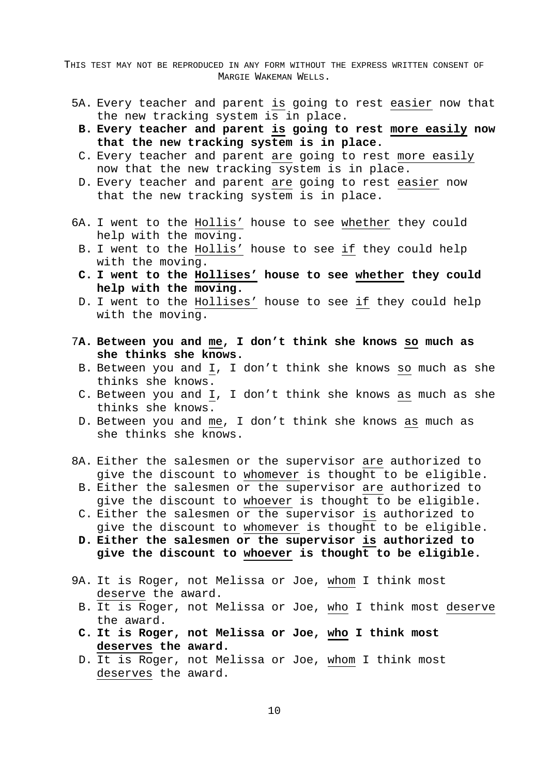- 5A. Every teacher and parent is going to rest easier now that the new tracking system is in place.
- **B. Every teacher and parent is going to rest more easily now that the new tracking system is in place.**
- C. Every teacher and parent are going to rest more easily now that the new tracking system is in place.
- D. Every teacher and parent are going to rest easier now that the new tracking system is in place.
- 6A. I went to the Hollis' house to see whether they could help with the moving.
	- B. I went to the Hollis' house to see if they could help with the moving.
	- **C. I went to the Hollises' house to see whether they could help with the moving.**
	- D. I went to the Hollises' house to see if they could help with the moving.
- 7**A. Between you and me, I don't think she knows so much as she thinks she knows.** 
	- B. Between you and I, I don't think she knows so much as she thinks she knows.
	- C. Between you and I, I don't think she knows as much as she thinks she knows.
	- D. Between you and me, I don't think she knows as much as she thinks she knows.
- 8A. Either the salesmen or the supervisor are authorized to give the discount to whomever is thought to be eligible.
	- B. Either the salesmen or the supervisor are authorized to give the discount to whoever is thought to be eligible.
	- C. Either the salesmen or the supervisor is authorized to give the discount to whomever is thought to be eligible.
	- **D. Either the salesmen or the supervisor is authorized to give the discount to whoever is thought to be eligible.**
- 9A. It is Roger, not Melissa or Joe, whom I think most deserve the award.
	- B. It is Roger, not Melissa or Joe, who I think most deserve the award.
	- **C. It is Roger, not Melissa or Joe, who I think most deserves the award.**
	- D. It is Roger, not Melissa or Joe, whom I think most deserves the award.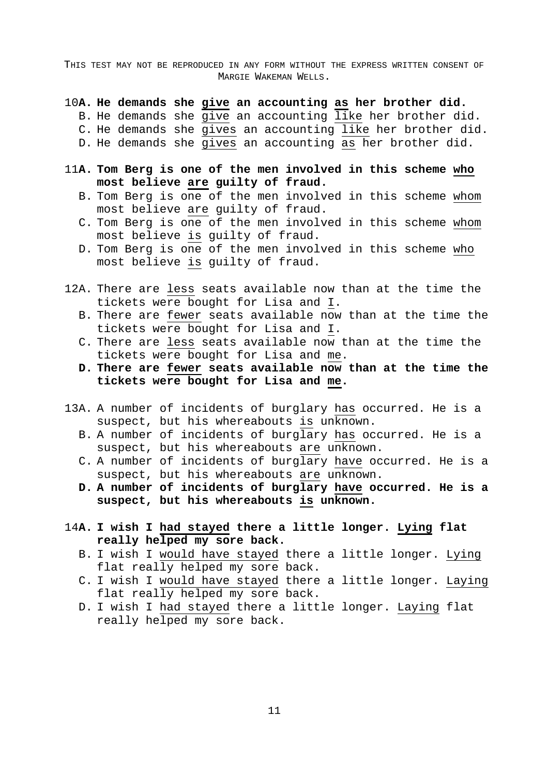- 10**A. He demands she give an accounting as her brother did.**
	- B. He demands she give an accounting like her brother did.
	- C. He demands she gives an accounting like her brother did.
	- D. He demands she gives an accounting as her brother did.
- 11**A. Tom Berg is one of the men involved in this scheme who most believe are guilty of fraud.**
	- B. Tom Berg is one of the men involved in this scheme whom most believe are guilty of fraud.
	- C. Tom Berg is one of the men involved in this scheme whom most believe is guilty of fraud.
	- D. Tom Berg is one of the men involved in this scheme who most believe is guilty of fraud.
- 12A. There are less seats available now than at the time the tickets were bought for Lisa and I.
	- B. There are fewer seats available now than at the time the tickets were bought for Lisa and I.
	- C. There are less seats available now than at the time the tickets were bought for Lisa and me.
	- **D. There are fewer seats available now than at the time the tickets were bought for Lisa and me.**
- 13A. A number of incidents of burglary has occurred. He is a suspect, but his whereabouts is unknown.
	- B. A number of incidents of burglary has occurred. He is a suspect, but his whereabouts are unknown.
	- C. A number of incidents of burglary have occurred. He is a suspect, but his whereabouts are unknown.
	- **D. A number of incidents of burglary have occurred. He is a suspect, but his whereabouts is unknown.**
- 14**A. I wish I had stayed there a little longer. Lying flat really helped my sore back.**
	- B. I wish I would have stayed there a little longer. Lying flat really helped my sore back.
	- C. I wish I would have stayed there a little longer. Laying flat really helped my sore back.
	- D. I wish I had stayed there a little longer. Laying flat really helped my sore back.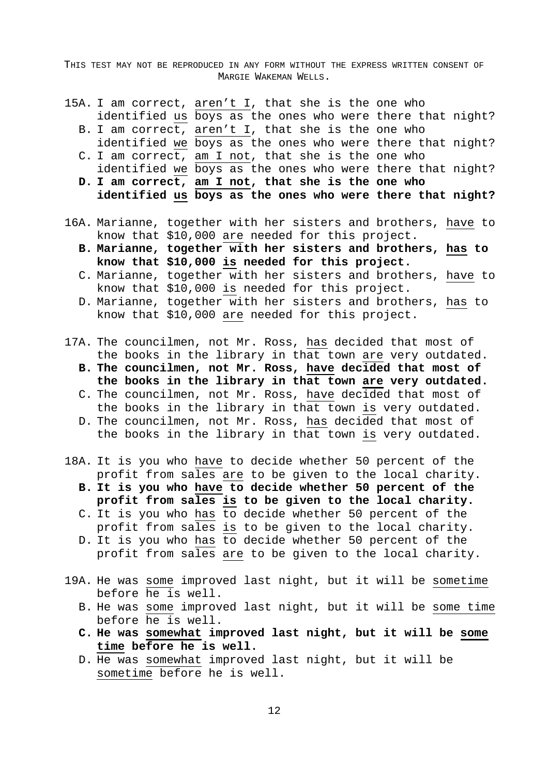- 15A. I am correct, aren't I, that she is the one who identified us boys as the ones who were there that night?
	- B. I am correct, aren't I, that she is the one who identified we boys as the ones who were there that night?
	- C. I am correct, am I not, that she is the one who identified we boys as the ones who were there that night?
	- **D. I am correct, am I not, that she is the one who identified us boys as the ones who were there that night?**
- 16A. Marianne, together with her sisters and brothers, have to know that \$10,000 are needed for this project.
	- **B. Marianne, together with her sisters and brothers, has to know that \$10,000 is needed for this project.**
	- C. Marianne, together with her sisters and brothers, have to know that \$10,000 is needed for this project.
	- D. Marianne, together with her sisters and brothers, has to know that \$10,000 are needed for this project.
- 17A. The councilmen, not Mr. Ross, has decided that most of the books in the library in that town are very outdated.
	- **B. The councilmen, not Mr. Ross, have decided that most of the books in the library in that town are very outdated.**
	- C. The councilmen, not Mr. Ross, have decided that most of the books in the library in that town is very outdated.
	- D. The councilmen, not Mr. Ross, has decided that most of the books in the library in that town is very outdated.
- 18A. It is you who have to decide whether 50 percent of the profit from sales are to be given to the local charity.
	- **B. It is you who have to decide whether 50 percent of the profit from sales is to be given to the local charity.**
	- C. It is you who has to decide whether 50 percent of the profit from sales is to be given to the local charity.
	- D. It is you who has to decide whether 50 percent of the profit from sales are to be given to the local charity.
- 19A. He was some improved last night, but it will be sometime before he is well.
	- B. He was some improved last night, but it will be some time before he is well.
	- **C. He was somewhat improved last night, but it will be some time before he is well.**
	- D. He was somewhat improved last night, but it will be sometime before he is well.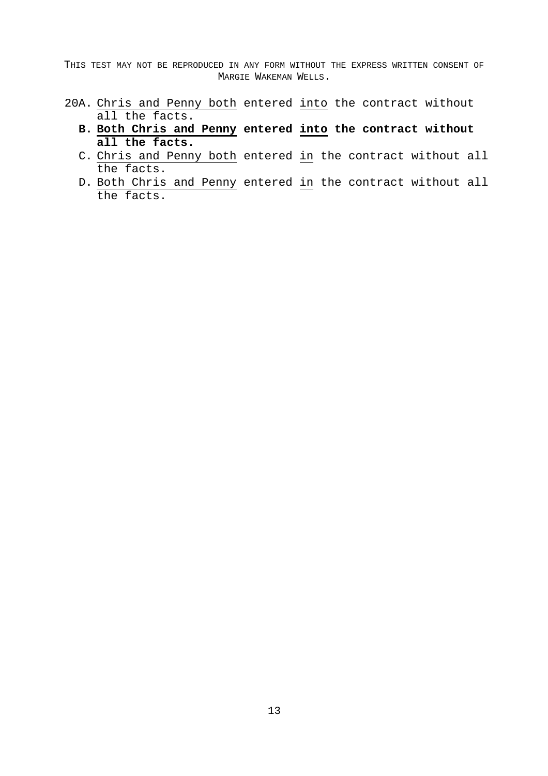- 20A. Chris and Penny both entered into the contract without all the facts.
	- **B. Both Chris and Penny entered into the contract without all the facts.**
	- C. Chris and Penny both entered in the contract without all the facts.
	- D. Both Chris and Penny entered in the contract without all the facts.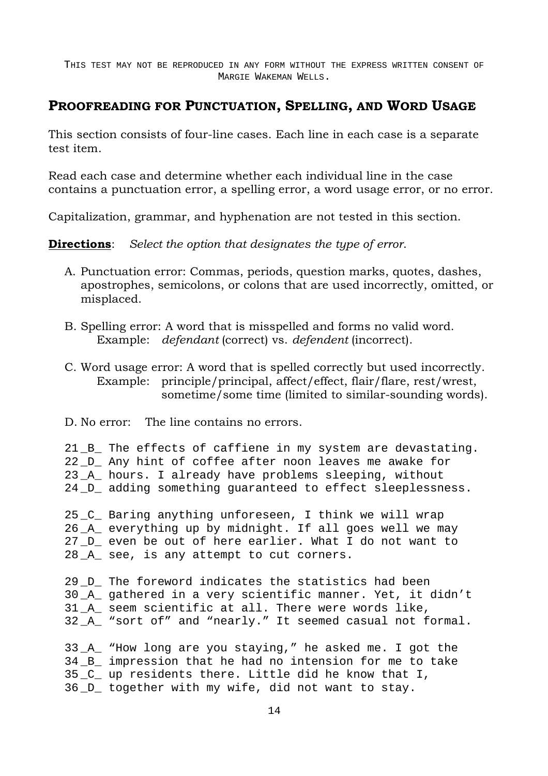## **PROOFREADING FOR PUNCTUATION, SPELLING, AND WORD USAGE**

This section consists of four-line cases. Each line in each case is a separate test item.

Read each case and determine whether each individual line in the case contains a punctuation error, a spelling error, a word usage error, or no error.

Capitalization, grammar, and hyphenation are not tested in this section.

**Directions**: *Select the option that designates the type of error*.

- A. Punctuation error: Commas, periods, question marks, quotes, dashes, apostrophes, semicolons, or colons that are used incorrectly, omitted, or misplaced.
- B. Spelling error: A word that is misspelled and forms no valid word. Example: *defendant* (correct) vs. *defendent* (incorrect).
- C. Word usage error: A word that is spelled correctly but used incorrectly. Example: principle/principal, affect/effect, flair/flare, rest/wrest, sometime/some time (limited to similar-sounding words).
- D. No error: The line contains no errors.

21 B The effects of caffiene in my system are devastating. 22 D Any hint of coffee after noon leaves me awake for 23 \_A\_ hours. I already have problems sleeping, without 24 \_D\_ adding something guaranteed to effect sleeplessness.

25 \_C\_ Baring anything unforeseen, I think we will wrap 26 \_A\_ everything up by midnight. If all goes well we may 27 D even be out of here earlier. What I do not want to 28 \_A\_ see, is any attempt to cut corners.

29 D The foreword indicates the statistics had been 30 \_A\_ gathered in a very scientific manner. Yet, it didn't 31 \_A\_ seem scientific at all. There were words like, 32 A "sort of" and "nearly." It seemed casual not formal.

33 A "How long are you staying," he asked me. I got the 34 B impression that he had no intension for me to take 35 C up residents there. Little did he know that I, 36 \_D\_ together with my wife, did not want to stay.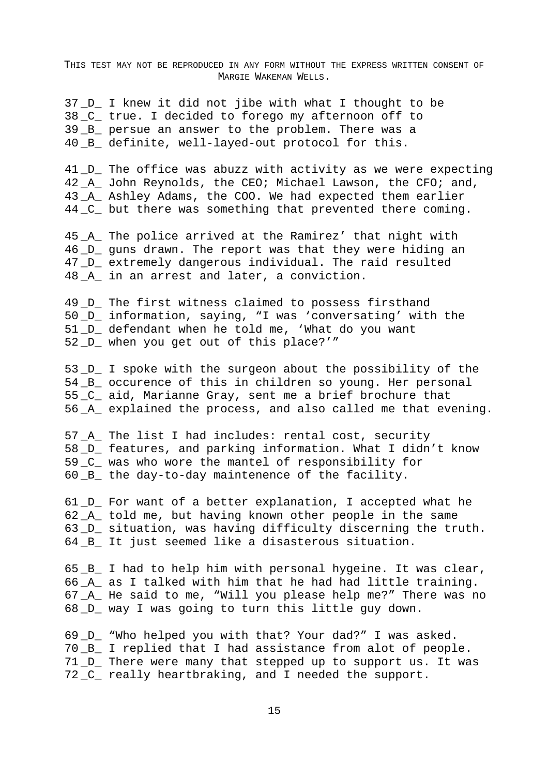37 \_D\_ I knew it did not jibe with what I thought to be 38 C true. I decided to forego my afternoon off to 39 \_B\_ persue an answer to the problem. There was a 40 \_B\_ definite, well-layed-out protocol for this.

41 D The office was abuzz with activity as we were expecting 42 \_A\_ John Reynolds, the CEO; Michael Lawson, the CFO; and, 43 \_A\_ Ashley Adams, the COO. We had expected them earlier 44 \_C\_ but there was something that prevented there coming.

45 \_A\_ The police arrived at the Ramirez' that night with 46 \_D\_ guns drawn. The report was that they were hiding an 47 \_D\_ extremely dangerous individual. The raid resulted 48 A in an arrest and later, a conviction.

49 D The first witness claimed to possess firsthand 50 \_D\_ information, saying, "I was 'conversating' with the 51 D defendant when he told me, 'What do you want 52 \_D\_ when you get out of this place?'"

53 \_D\_ I spoke with the surgeon about the possibility of the 54 \_B\_ occurence of this in children so young. Her personal 55 \_C\_ aid, Marianne Gray, sent me a brief brochure that 56 \_A\_ explained the process, and also called me that evening.

57 \_A\_ The list I had includes: rental cost, security 58 D features, and parking information. What I didn't know 59 C was who wore the mantel of responsibility for 60 \_B\_ the day-to-day maintenence of the facility.

61 \_D\_ For want of a better explanation, I accepted what he 62 A told me, but having known other people in the same 63 \_D\_ situation, was having difficulty discerning the truth. 64 B It just seemed like a disasterous situation.

65 \_B\_ I had to help him with personal hygeine. It was clear, 66 \_A\_ as I talked with him that he had had little training. 67 \_A\_ He said to me, "Will you please help me?" There was no 68 \_D\_ way I was going to turn this little guy down.

69 \_D\_ "Who helped you with that? Your dad?" I was asked. 70 \_B\_ I replied that I had assistance from alot of people. 71 \_D\_ There were many that stepped up to support us. It was 72 \_C\_ really heartbraking, and I needed the support.